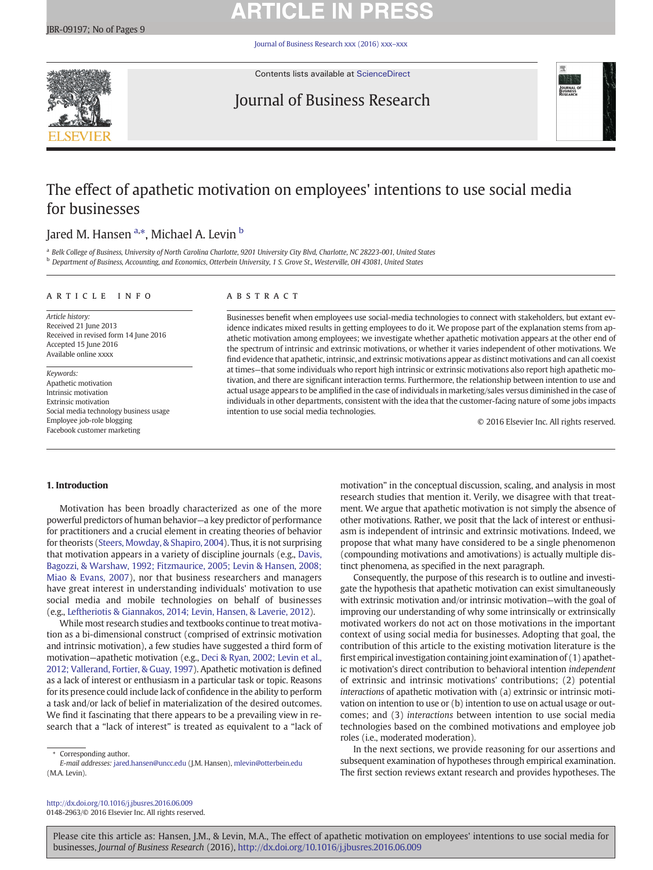# **ARTICLE IN PRESS**

[Journal of Business Research xxx \(2016\) xxx](http://dx.doi.org/10.1016/j.jbusres.2016.06.009)–xxx



Contents lists available at [ScienceDirect](http://www.sciencedirect.com/science/journal/01482963)

## Journal of Business Research



## The effect of apathetic motivation on employees' intentions to use social media for businesses

## Jared M. Hansen <sup>a,</sup>\*, Michael A. Levin <sup>b</sup>

a Belk College of Business, University of North Carolina Charlotte, 9201 University City Blvd, Charlotte, NC 28223-001, United States <sup>b</sup> Department of Business, Accounting, and Economics, Otterbein University, 1 S. Grove St., Westerville, OH 43081, United States

#### article info abstract

Article history: Received 21 June 2013 Received in revised form 14 June 2016 Accepted 15 June 2016 Available online xxxx

Keywords: Apathetic motivation Intrinsic motivation Extrinsic motivation Social media technology business usage Employee job-role blogging Facebook customer marketing

Businesses benefit when employees use social-media technologies to connect with stakeholders, but extant evidence indicates mixed results in getting employees to do it. We propose part of the explanation stems from apathetic motivation among employees; we investigate whether apathetic motivation appears at the other end of the spectrum of intrinsic and extrinsic motivations, or whether it varies independent of other motivations. We find evidence that apathetic, intrinsic, and extrinsic motivations appear as distinct motivations and can all coexist at times—that some individuals who report high intrinsic or extrinsic motivations also report high apathetic motivation, and there are significant interaction terms. Furthermore, the relationship between intention to use and actual usage appears to be amplified in the case of individuals in marketing/sales versus diminished in the case of individuals in other departments, consistent with the idea that the customer-facing nature of some jobs impacts intention to use social media technologies.

© 2016 Elsevier Inc. All rights reserved.

### 1. Introduction

Motivation has been broadly characterized as one of the more powerful predictors of human behavior—a key predictor of performance for practitioners and a crucial element in creating theories of behavior for theorists ([Steers, Mowday, & Shapiro, 2004\)](#page-8-0). Thus, it is not surprising that motivation appears in a variety of discipline journals (e.g., [Davis,](#page-8-0) [Bagozzi, & Warshaw, 1992; Fitzmaurice, 2005; Levin & Hansen, 2008;](#page-8-0) [Miao & Evans, 2007\)](#page-8-0), nor that business researchers and managers have great interest in understanding individuals' motivation to use social media and mobile technologies on behalf of businesses (e.g., [Leftheriotis & Giannakos, 2014; Levin, Hansen, & Laverie, 2012\)](#page-8-0).

While most research studies and textbooks continue to treat motivation as a bi-dimensional construct (comprised of extrinsic motivation and intrinsic motivation), a few studies have suggested a third form of motivation—apathetic motivation (e.g., [Deci & Ryan, 2002; Levin et al.,](#page-8-0) [2012; Vallerand, Fortier, & Guay, 1997](#page-8-0)). Apathetic motivation is defined as a lack of interest or enthusiasm in a particular task or topic. Reasons for its presence could include lack of confidence in the ability to perform a task and/or lack of belief in materialization of the desired outcomes. We find it fascinating that there appears to be a prevailing view in research that a "lack of interest" is treated as equivalent to a "lack of

<http://dx.doi.org/10.1016/j.jbusres.2016.06.009> 0148-2963/© 2016 Elsevier Inc. All rights reserved. motivation" in the conceptual discussion, scaling, and analysis in most research studies that mention it. Verily, we disagree with that treatment. We argue that apathetic motivation is not simply the absence of other motivations. Rather, we posit that the lack of interest or enthusiasm is independent of intrinsic and extrinsic motivations. Indeed, we propose that what many have considered to be a single phenomenon (compounding motivations and amotivations) is actually multiple distinct phenomena, as specified in the next paragraph.

Consequently, the purpose of this research is to outline and investigate the hypothesis that apathetic motivation can exist simultaneously with extrinsic motivation and/or intrinsic motivation—with the goal of improving our understanding of why some intrinsically or extrinsically motivated workers do not act on those motivations in the important context of using social media for businesses. Adopting that goal, the contribution of this article to the existing motivation literature is the first empirical investigation containing joint examination of (1) apathetic motivation's direct contribution to behavioral intention independent of extrinsic and intrinsic motivations' contributions; (2) potential interactions of apathetic motivation with (a) extrinsic or intrinsic motivation on intention to use or (b) intention to use on actual usage or outcomes; and (3) interactions between intention to use social media technologies based on the combined motivations and employee job roles (i.e., moderated moderation).

In the next sections, we provide reasoning for our assertions and subsequent examination of hypotheses through empirical examination. The first section reviews extant research and provides hypotheses. The

Corresponding author.

E-mail addresses: jared.hansen@uncc.edu (J.M. Hansen), [mlevin@otterbein.edu](mailto:mlevin@otterbein.edu) (M.A. Levin).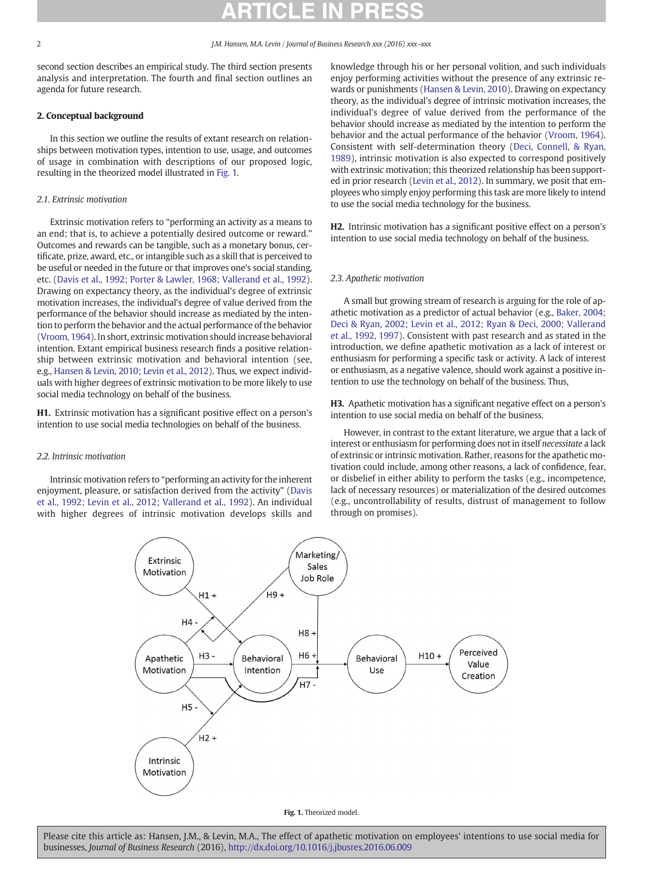<span id="page-1-0"></span>second section describes an empirical study. The third section presents analysis and interpretation. The fourth and final section outlines an agenda for future research.

### 2. Conceptual background

In this section we outline the results of extant research on relationships between motivation types, intention to use, usage, and outcomes of usage in combination with descriptions of our proposed logic, resulting in the theorized model illustrated in Fig. 1.

#### 2.1. Extrinsic motivation

Extrinsic motivation refers to "performing an activity as a means to an end; that is, to achieve a potentially desired outcome or reward." Outcomes and rewards can be tangible, such as a monetary bonus, certificate, prize, award, etc., or intangible such as a skill that is perceived to be useful or needed in the future or that improves one's social standing, etc. [\(Davis et al., 1992; Porter & Lawler, 1968; Vallerand et al., 1992](#page-8-0)). Drawing on expectancy theory, as the individual's degree of extrinsic motivation increases, the individual's degree of value derived from the performance of the behavior should increase as mediated by the intention to perform the behavior and the actual performance of the behavior [\(Vroom, 1964](#page-8-0)). In short, extrinsic motivation should increase behavioral intention. Extant empirical business research finds a positive relationship between extrinsic motivation and behavioral intention (see, e.g., [Hansen & Levin, 2010; Levin et al., 2012](#page-8-0)). Thus, we expect individuals with higher degrees of extrinsic motivation to be more likely to use social media technology on behalf of the business.

H1. Extrinsic motivation has a significant positive effect on a person's intention to use social media technologies on behalf of the business.

### 2.2. Intrinsic motivation

Intrinsic motivation refers to "performing an activity for the inherent enjoyment, pleasure, or satisfaction derived from the activity" ([Davis](#page-8-0) [et al., 1992; Levin et al., 2012; Vallerand et al., 1992](#page-8-0)). An individual with higher degrees of intrinsic motivation develops skills and knowledge through his or her personal volition, and such individuals enjoy performing activities without the presence of any extrinsic rewards or punishments [\(Hansen & Levin, 2010\)](#page-8-0). Drawing on expectancy theory, as the individual's degree of intrinsic motivation increases, the individual's degree of value derived from the performance of the behavior should increase as mediated by the intention to perform the behavior and the actual performance of the behavior [\(Vroom, 1964](#page-8-0)). Consistent with self-determination theory ([Deci, Connell, & Ryan,](#page-8-0) [1989](#page-8-0)), intrinsic motivation is also expected to correspond positively with extrinsic motivation; this theorized relationship has been supported in prior research ([Levin et al., 2012\)](#page-8-0). In summary, we posit that employees who simply enjoy performing this task are more likely to intend to use the social media technology for the business.

H2. Intrinsic motivation has a significant positive effect on a person's intention to use social media technology on behalf of the business.

### 2.3. Apathetic motivation

A small but growing stream of research is arguing for the role of apathetic motivation as a predictor of actual behavior (e.g., [Baker, 2004;](#page-8-0) [Deci & Ryan, 2002; Levin et al., 2012; Ryan & Deci, 2000; Vallerand](#page-8-0) [et al., 1992, 1997\)](#page-8-0). Consistent with past research and as stated in the introduction, we define apathetic motivation as a lack of interest or enthusiasm for performing a specific task or activity. A lack of interest or enthusiasm, as a negative valence, should work against a positive intention to use the technology on behalf of the business. Thus,

H3. Apathetic motivation has a significant negative effect on a person's intention to use social media on behalf of the business.

However, in contrast to the extant literature, we argue that a lack of interest or enthusiasm for performing does not in itself necessitate a lack of extrinsic or intrinsic motivation. Rather, reasons for the apathetic motivation could include, among other reasons, a lack of confidence, fear, or disbelief in either ability to perform the tasks (e.g., incompetence, lack of necessary resources) or materialization of the desired outcomes (e.g., uncontrollability of results, distrust of management to follow through on promises).



Fig. 1. Theorized model.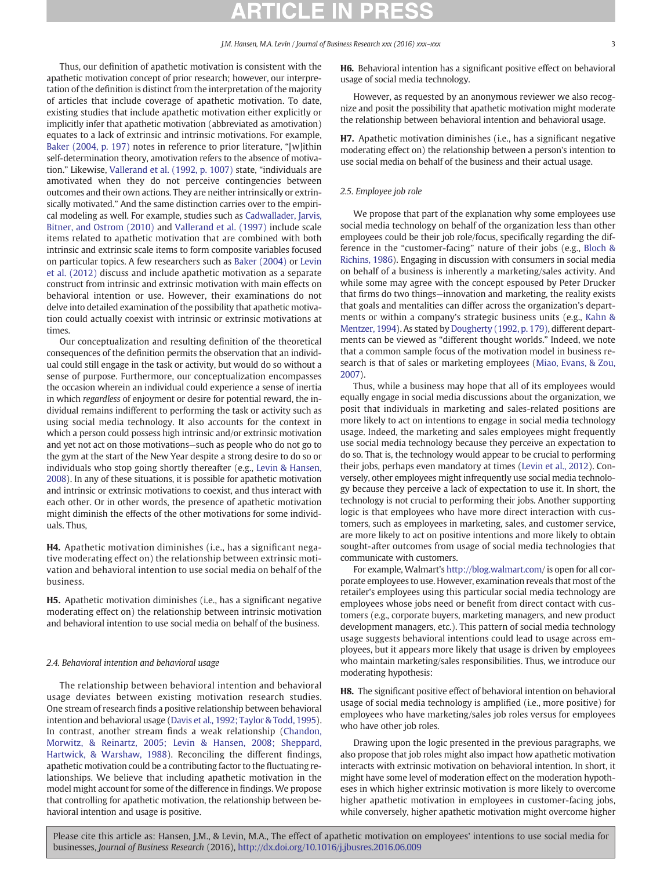<span id="page-2-0"></span>Thus, our definition of apathetic motivation is consistent with the apathetic motivation concept of prior research; however, our interpretation of the definition is distinct from the interpretation of the majority of articles that include coverage of apathetic motivation. To date, existing studies that include apathetic motivation either explicitly or implicitly infer that apathetic motivation (abbreviated as amotivation) equates to a lack of extrinsic and intrinsic motivations. For example, [Baker \(2004, p. 197\)](#page-8-0) notes in reference to prior literature, "[w]ithin self-determination theory, amotivation refers to the absence of motivation." Likewise, [Vallerand et al. \(1992, p. 1007\)](#page-8-0) state, "individuals are amotivated when they do not perceive contingencies between outcomes and their own actions. They are neither intrinsically or extrinsically motivated." And the same distinction carries over to the empirical modeling as well. For example, studies such as [Cadwallader, Jarvis,](#page-8-0) [Bitner, and Ostrom \(2010\)](#page-8-0) and [Vallerand et al. \(1997\)](#page-8-0) include scale items related to apathetic motivation that are combined with both intrinsic and extrinsic scale items to form composite variables focused on particular topics. A few researchers such as [Baker \(2004\)](#page-8-0) or [Levin](#page-8-0) [et al. \(2012\)](#page-8-0) discuss and include apathetic motivation as a separate construct from intrinsic and extrinsic motivation with main effects on behavioral intention or use. However, their examinations do not delve into detailed examination of the possibility that apathetic motivation could actually coexist with intrinsic or extrinsic motivations at times.

Our conceptualization and resulting definition of the theoretical consequences of the definition permits the observation that an individual could still engage in the task or activity, but would do so without a sense of purpose. Furthermore, our conceptualization encompasses the occasion wherein an individual could experience a sense of inertia in which regardless of enjoyment or desire for potential reward, the individual remains indifferent to performing the task or activity such as using social media technology. It also accounts for the context in which a person could possess high intrinsic and/or extrinsic motivation and yet not act on those motivations—such as people who do not go to the gym at the start of the New Year despite a strong desire to do so or individuals who stop going shortly thereafter (e.g., [Levin & Hansen,](#page-8-0) [2008](#page-8-0)). In any of these situations, it is possible for apathetic motivation and intrinsic or extrinsic motivations to coexist, and thus interact with each other. Or in other words, the presence of apathetic motivation might diminish the effects of the other motivations for some individuals. Thus,

H4. Apathetic motivation diminishes (i.e., has a significant negative moderating effect on) the relationship between extrinsic motivation and behavioral intention to use social media on behalf of the business.

H5. Apathetic motivation diminishes (i.e., has a significant negative moderating effect on) the relationship between intrinsic motivation and behavioral intention to use social media on behalf of the business.

#### 2.4. Behavioral intention and behavioral usage

The relationship between behavioral intention and behavioral usage deviates between existing motivation research studies. One stream of research finds a positive relationship between behavioral intention and behavioral usage ([Davis et al., 1992; Taylor & Todd, 1995](#page-8-0)). In contrast, another stream finds a weak relationship ([Chandon,](#page-8-0) [Morwitz, & Reinartz, 2005; Levin & Hansen, 2008; Sheppard,](#page-8-0) [Hartwick, & Warshaw, 1988](#page-8-0)). Reconciling the different findings, apathetic motivation could be a contributing factor to the fluctuating relationships. We believe that including apathetic motivation in the model might account for some of the difference in findings. We propose that controlling for apathetic motivation, the relationship between behavioral intention and usage is positive.

H6. Behavioral intention has a significant positive effect on behavioral usage of social media technology.

However, as requested by an anonymous reviewer we also recognize and posit the possibility that apathetic motivation might moderate the relationship between behavioral intention and behavioral usage.

H7. Apathetic motivation diminishes (i.e., has a significant negative moderating effect on) the relationship between a person's intention to use social media on behalf of the business and their actual usage.

#### 2.5. Employee job role

We propose that part of the explanation why some employees use social media technology on behalf of the organization less than other employees could be their job role/focus, specifically regarding the difference in the "customer-facing" nature of their jobs (e.g., [Bloch &](#page-8-0) [Richins, 1986](#page-8-0)). Engaging in discussion with consumers in social media on behalf of a business is inherently a marketing/sales activity. And while some may agree with the concept espoused by Peter Drucker that firms do two things—innovation and marketing, the reality exists that goals and mentalities can differ across the organization's departments or within a company's strategic business units (e.g., [Kahn &](#page-8-0) [Mentzer, 1994](#page-8-0)). As stated by [Dougherty \(1992, p. 179\),](#page-8-0) different departments can be viewed as "different thought worlds." Indeed, we note that a common sample focus of the motivation model in business research is that of sales or marketing employees [\(Miao, Evans, & Zou,](#page-8-0) [2007](#page-8-0)).

Thus, while a business may hope that all of its employees would equally engage in social media discussions about the organization, we posit that individuals in marketing and sales-related positions are more likely to act on intentions to engage in social media technology usage. Indeed, the marketing and sales employees might frequently use social media technology because they perceive an expectation to do so. That is, the technology would appear to be crucial to performing their jobs, perhaps even mandatory at times [\(Levin et al., 2012\)](#page-8-0). Conversely, other employees might infrequently use social media technology because they perceive a lack of expectation to use it. In short, the technology is not crucial to performing their jobs. Another supporting logic is that employees who have more direct interaction with customers, such as employees in marketing, sales, and customer service, are more likely to act on positive intentions and more likely to obtain sought-after outcomes from usage of social media technologies that communicate with customers.

For example, Walmart's <http://blog.walmart.com>/ is open for all corporate employees to use. However, examination reveals that most of the retailer's employees using this particular social media technology are employees whose jobs need or benefit from direct contact with customers (e.g., corporate buyers, marketing managers, and new product development managers, etc.). This pattern of social media technology usage suggests behavioral intentions could lead to usage across employees, but it appears more likely that usage is driven by employees who maintain marketing/sales responsibilities. Thus, we introduce our moderating hypothesis:

H8. The significant positive effect of behavioral intention on behavioral usage of social media technology is amplified (i.e., more positive) for employees who have marketing/sales job roles versus for employees who have other job roles.

Drawing upon the logic presented in the previous paragraphs, we also propose that job roles might also impact how apathetic motivation interacts with extrinsic motivation on behavioral intention. In short, it might have some level of moderation effect on the moderation hypotheses in which higher extrinsic motivation is more likely to overcome higher apathetic motivation in employees in customer-facing jobs, while conversely, higher apathetic motivation might overcome higher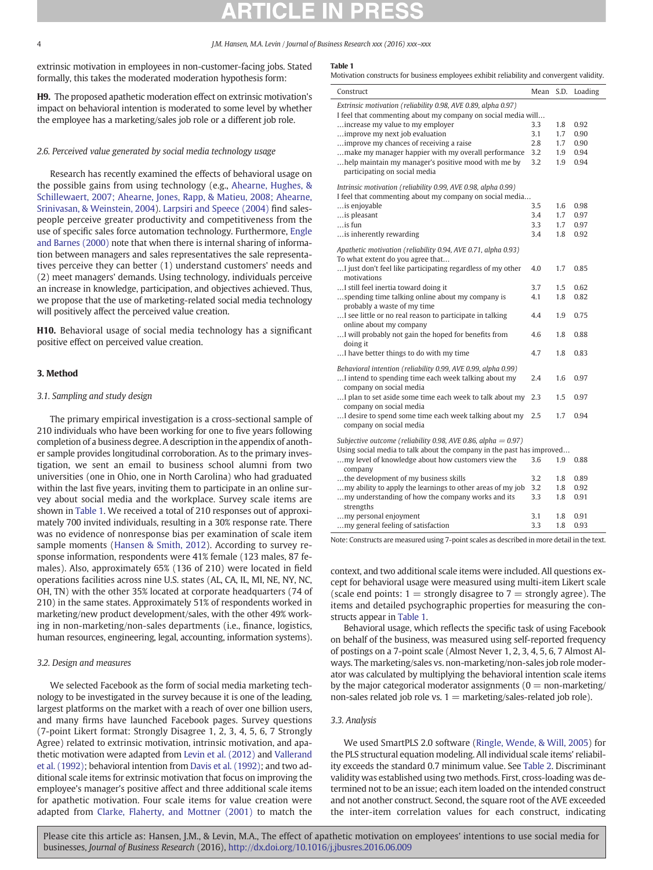extrinsic motivation in employees in non-customer-facing jobs. Stated formally, this takes the moderated moderation hypothesis form:

H9. The proposed apathetic moderation effect on extrinsic motivation's impact on behavioral intention is moderated to some level by whether the employee has a marketing/sales job role or a different job role.

### 2.6. Perceived value generated by social media technology usage

Research has recently examined the effects of behavioral usage on the possible gains from using technology (e.g., [Ahearne, Hughes, &](#page-8-0) [Schillewaert, 2007; Ahearne, Jones, Rapp, & Matieu, 2008; Ahearne,](#page-8-0) [Srinivasan, & Weinstein, 2004](#page-8-0)). [Larpsiri and Speece \(2004\)](#page-8-0) find salespeople perceive greater productivity and competitiveness from the use of specific sales force automation technology. Furthermore, [Engle](#page-8-0) [and Barnes \(2000\)](#page-8-0) note that when there is internal sharing of information between managers and sales representatives the sale representatives perceive they can better (1) understand customers' needs and (2) meet managers' demands. Using technology, individuals perceive an increase in knowledge, participation, and objectives achieved. Thus, we propose that the use of marketing-related social media technology will positively affect the perceived value creation.

H10. Behavioral usage of social media technology has a significant positive effect on perceived value creation.

#### 3. Method

#### 3.1. Sampling and study design

The primary empirical investigation is a cross-sectional sample of 210 individuals who have been working for one to five years following completion of a business degree. A description in the appendix of another sample provides longitudinal corroboration. As to the primary investigation, we sent an email to business school alumni from two universities (one in Ohio, one in North Carolina) who had graduated within the last five years, inviting them to participate in an online survey about social media and the workplace. Survey scale items are shown in Table 1. We received a total of 210 responses out of approximately 700 invited individuals, resulting in a 30% response rate. There was no evidence of nonresponse bias per examination of scale item sample moments [\(Hansen & Smith, 2012](#page-8-0)). According to survey response information, respondents were 41% female (123 males, 87 females). Also, approximately 65% (136 of 210) were located in field operations facilities across nine U.S. states (AL, CA, IL, MI, NE, NY, NC, OH, TN) with the other 35% located at corporate headquarters (74 of 210) in the same states. Approximately 51% of respondents worked in marketing/new product development/sales, with the other 49% working in non-marketing/non-sales departments (i.e., finance, logistics, human resources, engineering, legal, accounting, information systems).

#### 3.2. Design and measures

We selected Facebook as the form of social media marketing technology to be investigated in the survey because it is one of the leading, largest platforms on the market with a reach of over one billion users, and many firms have launched Facebook pages. Survey questions (7-point Likert format: Strongly Disagree 1, 2, 3, 4, 5, 6, 7 Strongly Agree) related to extrinsic motivation, intrinsic motivation, and apathetic motivation were adapted from [Levin et al. \(2012\)](#page-8-0) and [Vallerand](#page-8-0) [et al. \(1992\);](#page-8-0) behavioral intention from [Davis et al. \(1992\);](#page-8-0) and two additional scale items for extrinsic motivation that focus on improving the employee's manager's positive affect and three additional scale items for apathetic motivation. Four scale items for value creation were adapted from [Clarke, Flaherty, and Mottner \(2001\)](#page-8-0) to match the

#### Table 1

Motivation constructs for business employees exhibit reliability and convergent validity.

| Construct                                                                                                                                | Mean | S.D. | Loading |
|------------------------------------------------------------------------------------------------------------------------------------------|------|------|---------|
| Extrinsic motivation (reliability 0.98, AVE 0.89, alpha 0.97)<br>I feel that commenting about my company on social media will            |      |      |         |
| increase my value to my employer                                                                                                         | 3.3  | 1.8  | 0.92    |
| improve my next job evaluation                                                                                                           | 3.1  | 1.7  | 0.90    |
| improve my chances of receiving a raise                                                                                                  | 2.8  | 1.7  | 0.90    |
| make my manager happier with my overall performance                                                                                      | 3.2  | 1.9  | 0.94    |
| help maintain my manager's positive mood with me by<br>participating on social media                                                     | 3.2  | 1.9  | 0.94    |
| Intrinsic motivation (reliability 0.99, AVE 0.98, alpha 0.99)<br>I feel that commenting about my company on social media                 |      |      |         |
| is enjoyable                                                                                                                             | 3.5  | 1.6  | 0.98    |
| is pleasant                                                                                                                              | 3.4  | 1.7  | 0.97    |
| …is fun                                                                                                                                  | 3.3  | 1.7  | 0.97    |
| is inherently rewarding                                                                                                                  | 3.4  | 1.8  | 0.92    |
| Apathetic motivation (reliability 0.94, AVE 0.71, alpha 0.93)<br>To what extent do you agree that                                        |      |      |         |
| I just don't feel like participating regardless of my other<br>motivations                                                               | 4.0  | 1.7  | 0.85    |
| I still feel inertia toward doing it                                                                                                     | 3.7  | 1.5  | 0.62    |
| spending time talking online about my company is<br>probably a waste of my time                                                          | 4.1  | 1.8  | 0.82    |
| I see little or no real reason to participate in talking<br>online about my company                                                      | 4.4  | 1.9  | 0.75    |
| I will probably not gain the hoped for benefits from<br>doing it                                                                         | 4.6  | 1.8  | 0.88    |
| I have better things to do with my time.                                                                                                 | 4.7  | 1.8  | 0.83    |
| Behavioral intention (reliability 0.99, AVE 0.99, alpha 0.99)                                                                            |      |      |         |
| I intend to spending time each week talking about my<br>company on social media                                                          | 2.4  | 1.6  | 0.97    |
| I plan to set aside some time each week to talk about my<br>company on social media                                                      | 2.3  | 1.5  | 0.97    |
| I desire to spend some time each week talking about my.<br>company on social media                                                       | 2.5  | 1.7  | 0.94    |
| Subjective outcome (reliability 0.98, AVE 0.86, alpha $=$ 0.97)<br>Using social media to talk about the company in the past has improved |      |      |         |
| my level of knowledge about how customers view the<br>company                                                                            | 3.6  | 1.9  | 0.88    |
| the development of my business skills                                                                                                    | 3.2  | 1.8  | 0.89    |
| my ability to apply the learnings to other areas of my job                                                                               | 3.2  | 1.8  | 0.92    |
| my understanding of how the company works and its<br>strengths                                                                           | 3.3  | 1.8  | 0.91    |
| my personal enjoyment                                                                                                                    | 3.1  | 1.8  | 0.91    |
| my general feeling of satisfaction                                                                                                       | 3.3  | 1.8  | 0.93    |

Note: Constructs are measured using 7-point scales as described in more detail in the text.

context, and two additional scale items were included. All questions except for behavioral usage were measured using multi-item Likert scale (scale end points:  $1 =$  strongly disagree to  $7 =$  strongly agree). The items and detailed psychographic properties for measuring the constructs appear in Table 1.

Behavioral usage, which reflects the specific task of using Facebook on behalf of the business, was measured using self-reported frequency of postings on a 7-point scale (Almost Never 1, 2, 3, 4, 5, 6, 7 Almost Always. The marketing/sales vs. non-marketing/non-sales job role moderator was calculated by multiplying the behavioral intention scale items by the major categorical moderator assignments ( $0 =$  non-marketing/ non-sales related job role vs.  $1 =$  marketing/sales-related job role).

#### 3.3. Analysis

We used SmartPLS 2.0 software ([Ringle, Wende, & Will, 2005\)](#page-8-0) for the PLS structural equation modeling. All individual scale items' reliability exceeds the standard 0.7 minimum value. See [Table 2](#page-4-0). Discriminant validity was established using two methods. First, cross-loading was determined not to be an issue; each item loaded on the intended construct and not another construct. Second, the square root of the AVE exceeded the inter-item correlation values for each construct, indicating

<span id="page-3-0"></span>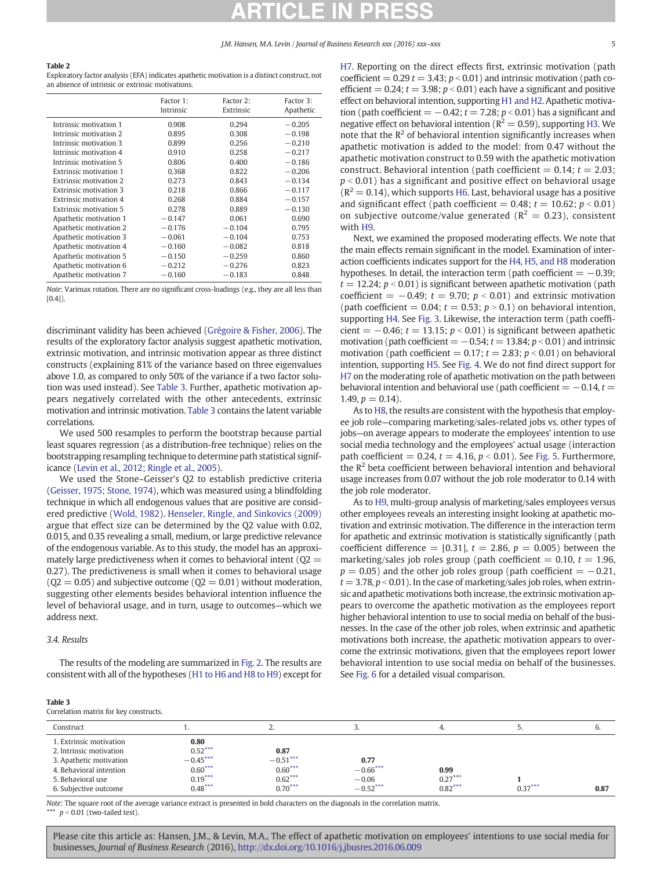#### <span id="page-4-0"></span>Table 2

Exploratory factor analysis (EFA) indicates apathetic motivation is a distinct construct, not an absence of intrinsic or extrinsic motivations.

|                               | Factor 1:<br>Intrinsic | Factor 2:<br>Extrinsic | Factor 3:<br>Apathetic |
|-------------------------------|------------------------|------------------------|------------------------|
| Intrinsic motivation 1        | 0.908                  | 0.294                  | $-0.205$               |
| Intrinsic motivation 2        | 0.895                  | 0.308                  | $-0.198$               |
| Intrinsic motivation 3        | 0.899                  | 0.256                  | $-0.210$               |
| Intrinsic motivation 4        | 0.910                  | 0.258                  | $-0.217$               |
| Intrinsic motivation 5        | 0.806                  | 0.400                  | $-0.186$               |
| Extrinsic motivation 1        | 0.368                  | 0.822                  | $-0.206$               |
| Extrinsic motivation 2        | 0.273                  | 0.843                  | $-0.134$               |
| Extrinsic motivation 3        | 0.218                  | 0.866                  | $-0.117$               |
| Extrinsic motivation 4        | 0.268                  | 0.884                  | $-0.157$               |
| <b>Extrinsic motivation 5</b> | 0.278                  | 0.889                  | $-0.130$               |
| Apathetic motivation 1        | $-0.147$               | 0.061                  | 0.690                  |
| Apathetic motivation 2        | $-0.176$               | $-0.104$               | 0.795                  |
| Apathetic motivation 3        | $-0.061$               | $-0.104$               | 0.753                  |
| Apathetic motivation 4        | $-0.160$               | $-0.082$               | 0.818                  |
| Apathetic motivation 5        | $-0.150$               | $-0.259$               | 0.860                  |
| Apathetic motivation 6        | $-0.212$               | $-0.276$               | 0.823                  |
| Apathetic motivation 7        | $-0.160$               | $-0.183$               | 0.848                  |
|                               |                        |                        |                        |

Note: Varimax rotation. There are no significant cross-loadings (e.g., they are all less than  $|0.4|$ ).

discriminant validity has been achieved [\(Grégoire & Fisher, 2006](#page-8-0)). The results of the exploratory factor analysis suggest apathetic motivation, extrinsic motivation, and intrinsic motivation appear as three distinct constructs (explaining 81% of the variance based on three eigenvalues above 1.0, as compared to only 50% of the variance if a two factor solution was used instead). See Table 3. Further, apathetic motivation appears negatively correlated with the other antecedents, extrinsic motivation and intrinsic motivation. Table 3 contains the latent variable correlations.

We used 500 resamples to perform the bootstrap because partial least squares regression (as a distribution-free technique) relies on the bootstrapping resampling technique to determine path statistical significance [\(Levin et al., 2012; Ringle et al., 2005\)](#page-8-0).

We used the Stone–Geisser's Q2 to establish predictive criteria [\(Geisser, 1975; Stone, 1974](#page-8-0)), which was measured using a blindfolding technique in which all endogenous values that are positive are considered predictive [\(Wold, 1982\)](#page-8-0). [Henseler, Ringle, and Sinkovics \(2009\)](#page-8-0) argue that effect size can be determined by the Q2 value with 0.02, 0.015, and 0.35 revealing a small, medium, or large predictive relevance of the endogenous variable. As to this study, the model has an approximately large predictiveness when it comes to behavioral intent ( $Q2 =$ 0.27). The predictiveness is small when it comes to behavioral usage  $(Q2 = 0.05)$  and subjective outcome  $(Q2 = 0.01)$  without moderation, suggesting other elements besides behavioral intention influence the level of behavioral usage, and in turn, usage to outcomes—which we address next.

### 3.4. Results

The results of the modeling are summarized in [Fig. 2](#page-5-0). The results are consistent with all of the hypotheses [\(H1 to H6 and H8 to H9](#page-1-0)) except for

#### Table 3

Correlation matrix for key constructs.

[H7](#page-2-0). Reporting on the direct effects first, extrinsic motivation (path coefficient  $= 0.29 t = 3.43$ ;  $p < 0.01$ ) and intrinsic motivation (path coefficient  $= 0.24$ ;  $t = 3.98$ ;  $p < 0.01$ ) each have a significant and positive effect on behavioral intention, supporting [H1 and H2.](#page-1-0) Apathetic motivation (path coefficient  $= -0.42$ ;  $t = 7.28$ ;  $p < 0.01$ ) has a significant and negative effect on behavioral intention ( $R^2 = 0.59$ ), supporting [H3](#page-1-0). We note that the  $R^2$  of behavioral intention significantly increases when apathetic motivation is added to the model: from 0.47 without the apathetic motivation construct to 0.59 with the apathetic motivation construct. Behavioral intention (path coefficient =  $0.14$ ;  $t = 2.03$ ;  $p < 0.01$ ) has a significant and positive effect on behavioral usage  $(R^2 = 0.14)$ , which supports [H6](#page-2-0). Last, behavioral usage has a positive and significant effect (path coefficient =  $0.48$ ;  $t = 10.62$ ;  $p < 0.01$ ) on subjective outcome/value generated ( $R^2 = 0.23$ ), consistent with [H9](#page-3-0).

Next, we examined the proposed moderating effects. We note that the main effects remain significant in the model. Examination of interaction coefficients indicates support for the [H4, H5, and H8](#page-2-0) moderation hypotheses. In detail, the interaction term (path coefficient  $= -0.39$ ;  $t = 12.24$ ;  $p < 0.01$ ) is significant between apathetic motivation (path coefficient =  $-0.49$ ;  $t = 9.70$ ;  $p < 0.01$ ) and extrinsic motivation (path coefficient = 0.04;  $t = 0.53$ ;  $p > 0.1$ ) on behavioral intention, supporting [H4.](#page-2-0) See [Fig. 3.](#page-5-0) Likewise, the interaction term (path coefficient =  $-0.46$ ; t = 13.15; p < 0.01) is significant between apathetic motivation (path coefficient  $= -0.54$ ;  $t = 13.84$ ;  $p < 0.01$ ) and intrinsic motivation (path coefficient = 0.17;  $t = 2.83$ ;  $p < 0.01$ ) on behavioral intention, supporting [H5.](#page-2-0) See [Fig. 4](#page-5-0). We do not find direct support for [H7](#page-2-0) on the moderating role of apathetic motivation on the path between behavioral intention and behavioral use (path coefficient  $= -0.14$ ,  $t =$  $1.49, p = 0.14$ .

As to [H8,](#page-2-0) the results are consistent with the hypothesis that employee job role—comparing marketing/sales-related jobs vs. other types of jobs—on average appears to moderate the employees' intention to use social media technology and the employees' actual usage (interaction path coefficient = 0.24,  $t = 4.16$ ,  $p < 0.01$ ). See [Fig. 5.](#page-6-0) Furthermore, the  $R<sup>2</sup>$  beta coefficient between behavioral intention and behavioral usage increases from 0.07 without the job role moderator to 0.14 with the job role moderator.

As to [H9](#page-3-0), multi-group analysis of marketing/sales employees versus other employees reveals an interesting insight looking at apathetic motivation and extrinsic motivation. The difference in the interaction term for apathetic and extrinsic motivation is statistically significantly (path coefficient difference =  $|0.31|$ ,  $t = 2.86$ ,  $p = 0.005$ ) between the marketing/sales job roles group (path coefficient  $= 0.10$ ,  $t = 1.96$ ,  $p = 0.05$ ) and the other job roles group (path coefficient  $= -0.21$ ,  $t = 3.78$ ,  $p < 0.01$ ). In the case of marketing/sales job roles, when extrinsic and apathetic motivations both increase, the extrinsic motivation appears to overcome the apathetic motivation as the employees report higher behavioral intention to use to social media on behalf of the businesses. In the case of the other job roles, when extrinsic and apathetic motivations both increase, the apathetic motivation appears to overcome the extrinsic motivations, given that the employees report lower behavioral intention to use social media on behalf of the businesses. See [Fig. 6](#page-6-0) for a detailed visual comparison.

| Construct                                                                                                                                              |                                                                        | ۷.                                                        |                                             |                                |           | o.   |
|--------------------------------------------------------------------------------------------------------------------------------------------------------|------------------------------------------------------------------------|-----------------------------------------------------------|---------------------------------------------|--------------------------------|-----------|------|
| 1. Extrinsic motivation<br>2. Intrinsic motivation<br>3. Apathetic motivation<br>4. Behavioral intention<br>5. Behavioral use<br>6. Subjective outcome | 0.80<br>$0.52***$<br>$-0.45***$<br>$0.60***$<br>$0.19***$<br>$0.48***$ | 0.87<br>$-0.51***$<br>$0.60***$<br>$0.62***$<br>$0.70***$ | 0.77<br>$-0.66***$<br>$-0.06$<br>$-0.52***$ | 0.99<br>$0.27***$<br>$0.82***$ | $0.37***$ | 0.87 |

Note: The square root of the average variance extract is presented in bold characters on the diagonals in the correlation matrix.  $p < 0.01$  (two-tailed test).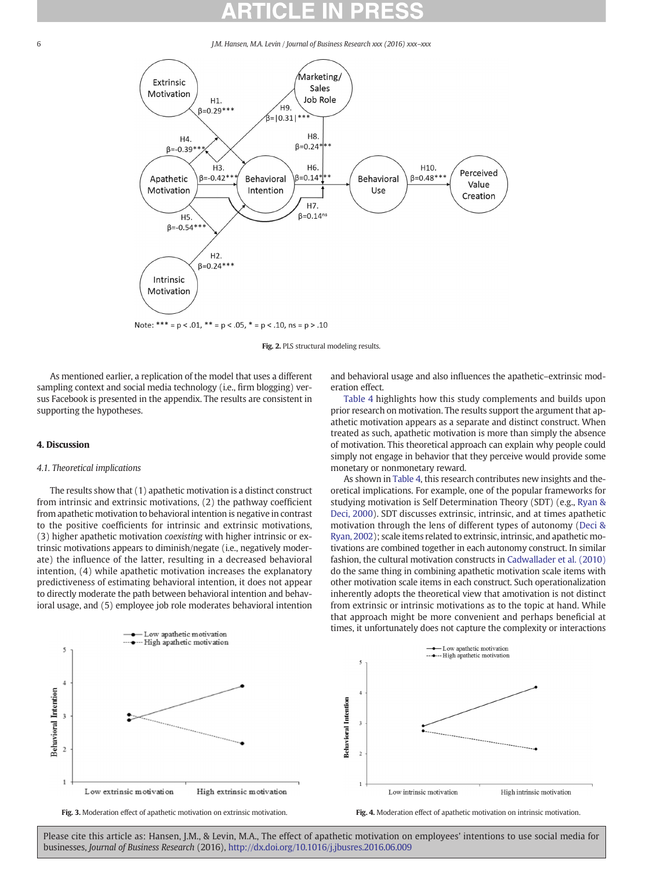<span id="page-5-0"></span>

Note: \*\*\* =  $p < .01$ , \*\* =  $p < .05$ , \* =  $p < .10$ , ns =  $p > .10$ 

Fig. 2. PLS structural modeling results.

As mentioned earlier, a replication of the model that uses a different sampling context and social media technology (i.e., firm blogging) versus Facebook is presented in the appendix. The results are consistent in supporting the hypotheses.

#### 4. Discussion

### 4.1. Theoretical implications

The results show that (1) apathetic motivation is a distinct construct from intrinsic and extrinsic motivations, (2) the pathway coefficient from apathetic motivation to behavioral intention is negative in contrast to the positive coefficients for intrinsic and extrinsic motivations, (3) higher apathetic motivation coexisting with higher intrinsic or extrinsic motivations appears to diminish/negate (i.e., negatively moderate) the influence of the latter, resulting in a decreased behavioral intention, (4) while apathetic motivation increases the explanatory predictiveness of estimating behavioral intention, it does not appear to directly moderate the path between behavioral intention and behavioral usage, and (5) employee job role moderates behavioral intention and behavioral usage and also influences the apathetic–extrinsic moderation effect.

[Table 4](#page-7-0) highlights how this study complements and builds upon prior research on motivation. The results support the argument that apathetic motivation appears as a separate and distinct construct. When treated as such, apathetic motivation is more than simply the absence of motivation. This theoretical approach can explain why people could simply not engage in behavior that they perceive would provide some monetary or nonmonetary reward.

As shown in [Table 4,](#page-7-0) this research contributes new insights and theoretical implications. For example, one of the popular frameworks for studying motivation is Self Determination Theory (SDT) (e.g., [Ryan &](#page-8-0) [Deci, 2000](#page-8-0)). SDT discusses extrinsic, intrinsic, and at times apathetic motivation through the lens of different types of autonomy ([Deci &](#page-8-0) [Ryan, 2002](#page-8-0)); scale items related to extrinsic, intrinsic, and apathetic motivations are combined together in each autonomy construct. In similar fashion, the cultural motivation constructs in [Cadwallader et al. \(2010\)](#page-8-0) do the same thing in combining apathetic motivation scale items with other motivation scale items in each construct. Such operationalization inherently adopts the theoretical view that amotivation is not distinct from extrinsic or intrinsic motivations as to the topic at hand. While that approach might be more convenient and perhaps beneficial at times, it unfortunately does not capture the complexity or interactions



Fig. 3. Moderation effect of apathetic motivation on extrinsic motivation. Fig. 4. Moderation effect of apathetic motivation on intrinsic motivation.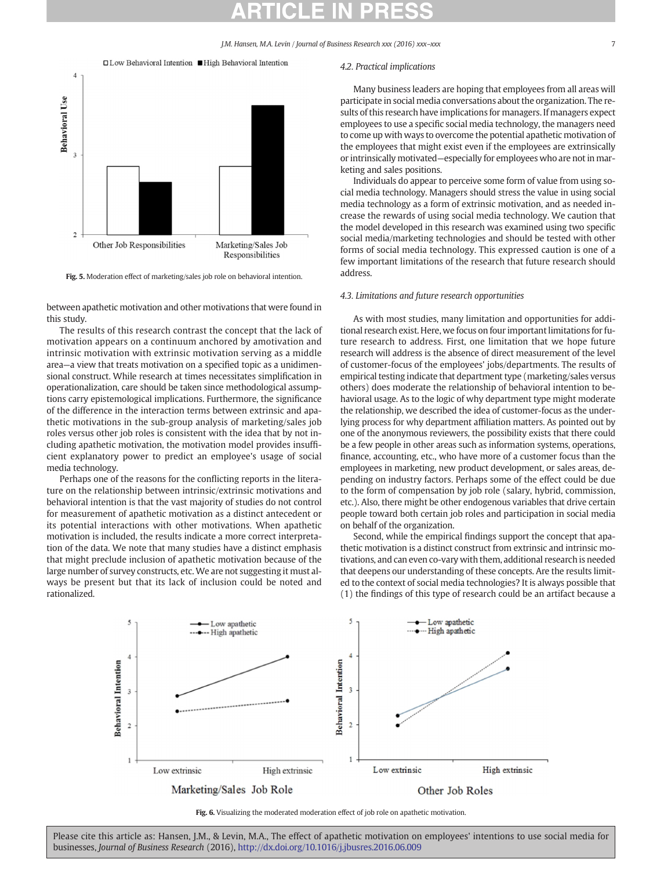<span id="page-6-0"></span>

Fig. 5. Moderation effect of marketing/sales job role on behavioral intention.

between apathetic motivation and other motivations that were found in this study.

The results of this research contrast the concept that the lack of motivation appears on a continuum anchored by amotivation and intrinsic motivation with extrinsic motivation serving as a middle area—a view that treats motivation on a specified topic as a unidimensional construct. While research at times necessitates simplification in operationalization, care should be taken since methodological assumptions carry epistemological implications. Furthermore, the significance of the difference in the interaction terms between extrinsic and apathetic motivations in the sub-group analysis of marketing/sales job roles versus other job roles is consistent with the idea that by not including apathetic motivation, the motivation model provides insufficient explanatory power to predict an employee's usage of social media technology.

Perhaps one of the reasons for the conflicting reports in the literature on the relationship between intrinsic/extrinsic motivations and behavioral intention is that the vast majority of studies do not control for measurement of apathetic motivation as a distinct antecedent or its potential interactions with other motivations. When apathetic motivation is included, the results indicate a more correct interpretation of the data. We note that many studies have a distinct emphasis that might preclude inclusion of apathetic motivation because of the large number of survey constructs, etc. We are not suggesting it must always be present but that its lack of inclusion could be noted and rationalized.

#### 4.2. Practical implications

Many business leaders are hoping that employees from all areas will participate in social media conversations about the organization. The results of this research have implications for managers. If managers expect employees to use a specific social media technology, the managers need to come up with ways to overcome the potential apathetic motivation of the employees that might exist even if the employees are extrinsically or intrinsically motivated—especially for employees who are not in marketing and sales positions.

Individuals do appear to perceive some form of value from using social media technology. Managers should stress the value in using social media technology as a form of extrinsic motivation, and as needed increase the rewards of using social media technology. We caution that the model developed in this research was examined using two specific social media/marketing technologies and should be tested with other forms of social media technology. This expressed caution is one of a few important limitations of the research that future research should address.

### 4.3. Limitations and future research opportunities

As with most studies, many limitation and opportunities for additional research exist. Here, we focus on four important limitations for future research to address. First, one limitation that we hope future research will address is the absence of direct measurement of the level of customer-focus of the employees' jobs/departments. The results of empirical testing indicate that department type (marketing/sales versus others) does moderate the relationship of behavioral intention to behavioral usage. As to the logic of why department type might moderate the relationship, we described the idea of customer-focus as the underlying process for why department affiliation matters. As pointed out by one of the anonymous reviewers, the possibility exists that there could be a few people in other areas such as information systems, operations, finance, accounting, etc., who have more of a customer focus than the employees in marketing, new product development, or sales areas, depending on industry factors. Perhaps some of the effect could be due to the form of compensation by job role (salary, hybrid, commission, etc.). Also, there might be other endogenous variables that drive certain people toward both certain job roles and participation in social media on behalf of the organization.

Second, while the empirical findings support the concept that apathetic motivation is a distinct construct from extrinsic and intrinsic motivations, and can even co-vary with them, additional research is needed that deepens our understanding of these concepts. Are the results limited to the context of social media technologies? It is always possible that (1) the findings of this type of research could be an artifact because a



Fig. 6. Visualizing the moderated moderation effect of job role on apathetic motivation.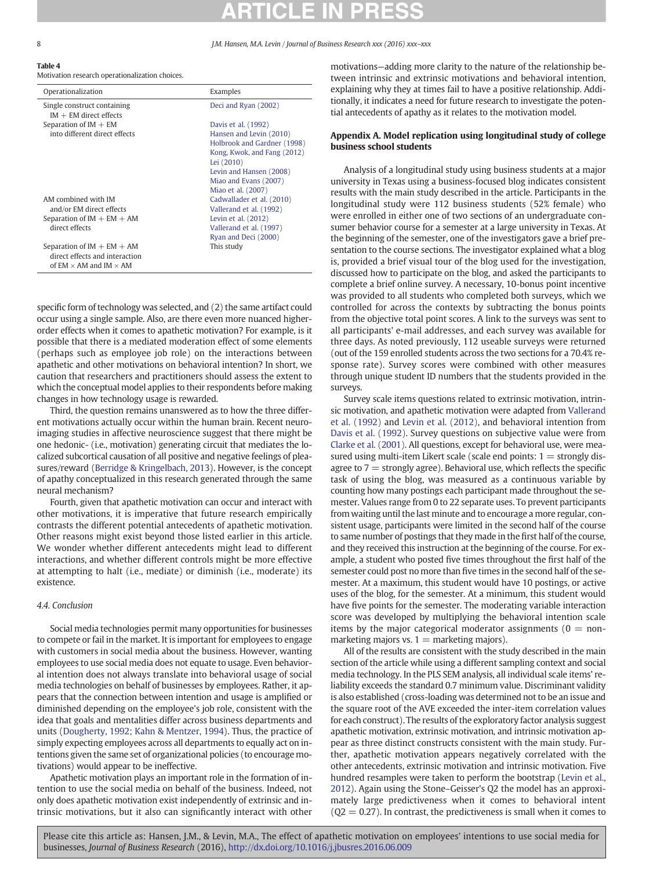<span id="page-7-0"></span>Table 4

| . |                       |  |
|---|-----------------------|--|
|   | Motivation recearch o |  |

|  | Motivation research operationalization choices. |  |
|--|-------------------------------------------------|--|
|  |                                                 |  |

| Operationalization                                      | Examples                    |
|---------------------------------------------------------|-----------------------------|
| Single construct containing<br>$IM + EM$ direct effects | Deci and Ryan (2002)        |
| Separation of $IM + EM$                                 | Davis et al. (1992)         |
| into different direct effects                           | Hansen and Levin (2010)     |
|                                                         | Holbrook and Gardner (1998) |
|                                                         | Kong, Kwok, and Fang (2012) |
|                                                         | Lei (2010)                  |
|                                                         | Levin and Hansen (2008)     |
|                                                         | Miao and Evans (2007)       |
|                                                         | Miao et al. (2007)          |
| AM combined with IM                                     | Cadwallader et al. (2010)   |
| and/or EM direct effects                                | Vallerand et al. (1992)     |
| Separation of $IM + EM + AM$                            | Levin et al. (2012)         |
| direct effects                                          | Vallerand et al. (1997)     |
|                                                         | Ryan and Deci (2000)        |
| Separation of $IM + EM + AM$                            | This study                  |
| direct effects and interaction                          |                             |
| of FM $\times$ AM and IM $\times$ AM                    |                             |

specific form of technology was selected, and (2) the same artifact could occur using a single sample. Also, are there even more nuanced higherorder effects when it comes to apathetic motivation? For example, is it possible that there is a mediated moderation effect of some elements (perhaps such as employee job role) on the interactions between apathetic and other motivations on behavioral intention? In short, we caution that researchers and practitioners should assess the extent to which the conceptual model applies to their respondents before making changes in how technology usage is rewarded.

Third, the question remains unanswered as to how the three different motivations actually occur within the human brain. Recent neuroimaging studies in affective neuroscience suggest that there might be one hedonic- (i.e., motivation) generating circuit that mediates the localized subcortical causation of all positive and negative feelings of pleasures/reward ([Berridge & Kringelbach, 2013](#page-8-0)). However, is the concept of apathy conceptualized in this research generated through the same neural mechanism?

Fourth, given that apathetic motivation can occur and interact with other motivations, it is imperative that future research empirically contrasts the different potential antecedents of apathetic motivation. Other reasons might exist beyond those listed earlier in this article. We wonder whether different antecedents might lead to different interactions, and whether different controls might be more effective at attempting to halt (i.e., mediate) or diminish (i.e., moderate) its existence.

### 4.4. Conclusion

Social media technologies permit many opportunities for businesses to compete or fail in the market. It is important for employees to engage with customers in social media about the business. However, wanting employees to use social media does not equate to usage. Even behavioral intention does not always translate into behavioral usage of social media technologies on behalf of businesses by employees. Rather, it appears that the connection between intention and usage is amplified or diminished depending on the employee's job role, consistent with the idea that goals and mentalities differ across business departments and units ([Dougherty, 1992; Kahn & Mentzer, 1994](#page-8-0)). Thus, the practice of simply expecting employees across all departments to equally act on intentions given the same set of organizational policies (to encourage motivations) would appear to be ineffective.

Apathetic motivation plays an important role in the formation of intention to use the social media on behalf of the business. Indeed, not only does apathetic motivation exist independently of extrinsic and intrinsic motivations, but it also can significantly interact with other motivations—adding more clarity to the nature of the relationship between intrinsic and extrinsic motivations and behavioral intention, explaining why they at times fail to have a positive relationship. Additionally, it indicates a need for future research to investigate the potential antecedents of apathy as it relates to the motivation model.

### Appendix A. Model replication using longitudinal study of college business school students

Analysis of a longitudinal study using business students at a major university in Texas using a business-focused blog indicates consistent results with the main study described in the article. Participants in the longitudinal study were 112 business students (52% female) who were enrolled in either one of two sections of an undergraduate consumer behavior course for a semester at a large university in Texas. At the beginning of the semester, one of the investigators gave a brief presentation to the course sections. The investigator explained what a blog is, provided a brief visual tour of the blog used for the investigation, discussed how to participate on the blog, and asked the participants to complete a brief online survey. A necessary, 10-bonus point incentive was provided to all students who completed both surveys, which we controlled for across the contexts by subtracting the bonus points from the objective total point scores. A link to the surveys was sent to all participants' e-mail addresses, and each survey was available for three days. As noted previously, 112 useable surveys were returned (out of the 159 enrolled students across the two sections for a 70.4% response rate). Survey scores were combined with other measures through unique student ID numbers that the students provided in the surveys.

Survey scale items questions related to extrinsic motivation, intrinsic motivation, and apathetic motivation were adapted from [Vallerand](#page-8-0) [et al. \(1992\)](#page-8-0) and [Levin et al. \(2012\),](#page-8-0) and behavioral intention from [Davis et al. \(1992\)](#page-8-0). Survey questions on subjective value were from [Clarke et al. \(2001\)](#page-8-0). All questions, except for behavioral use, were measured using multi-item Likert scale (scale end points:  $1 =$  strongly disagree to  $7 =$  strongly agree). Behavioral use, which reflects the specific task of using the blog, was measured as a continuous variable by counting how many postings each participant made throughout the semester. Values range from 0 to 22 separate uses. To prevent participants from waiting until the last minute and to encourage a more regular, consistent usage, participants were limited in the second half of the course to same number of postings that they made in the first half of the course, and they received this instruction at the beginning of the course. For example, a student who posted five times throughout the first half of the semester could post no more than five times in the second half of the semester. At a maximum, this student would have 10 postings, or active uses of the blog, for the semester. At a minimum, this student would have five points for the semester. The moderating variable interaction score was developed by multiplying the behavioral intention scale items by the major categorical moderator assignments ( $0 =$  nonmarketing majors vs.  $1 =$  marketing majors).

All of the results are consistent with the study described in the main section of the article while using a different sampling context and social media technology. In the PLS SEM analysis, all individual scale items' reliability exceeds the standard 0.7 minimum value. Discriminant validity is also established (cross-loading was determined not to be an issue and the square root of the AVE exceeded the inter-item correlation values for each construct). The results of the exploratory factor analysis suggest apathetic motivation, extrinsic motivation, and intrinsic motivation appear as three distinct constructs consistent with the main study. Further, apathetic motivation appears negatively correlated with the other antecedents, extrinsic motivation and intrinsic motivation. Five hundred resamples were taken to perform the bootstrap [\(Levin et al.,](#page-8-0) [2012\)](#page-8-0). Again using the Stone–Geisser's Q2 the model has an approximately large predictiveness when it comes to behavioral intent  $(Q2 = 0.27)$ . In contrast, the predictiveness is small when it comes to